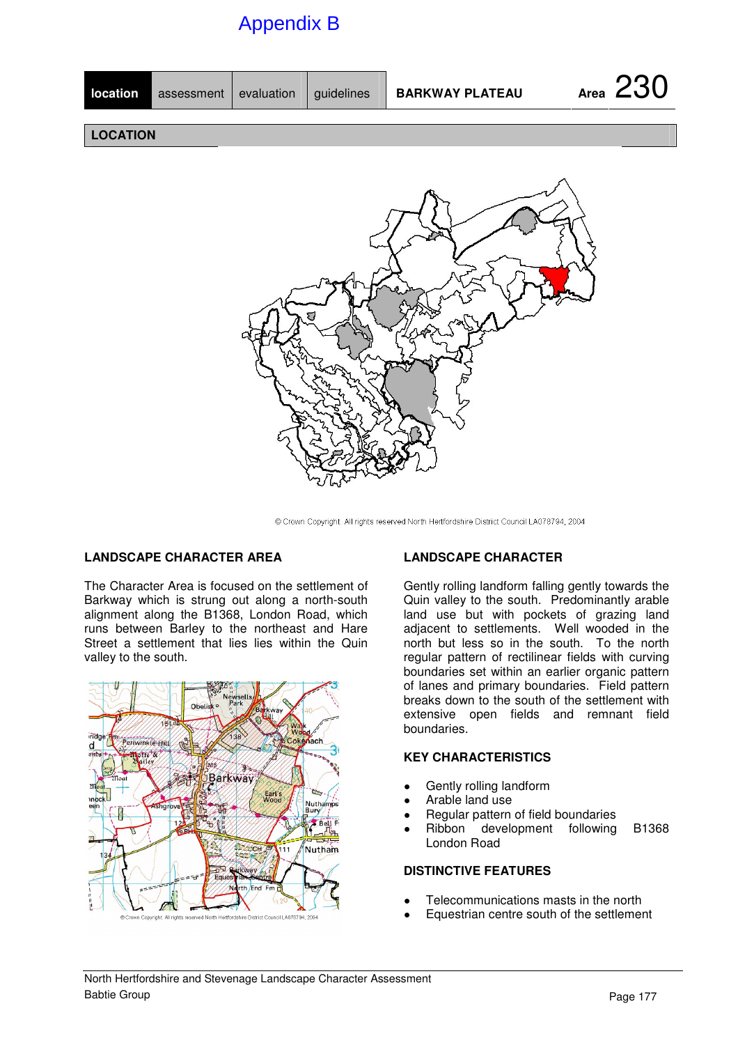# Appendix B

| location        | assessment evaluation |  | guidelines | <b>BARKWAY PLATEAU</b> | Area 230 |
|-----------------|-----------------------|--|------------|------------------------|----------|
|                 |                       |  |            |                        |          |
| <b>LOCATION</b> |                       |  |            |                        |          |
|                 |                       |  |            |                        |          |
|                 |                       |  |            |                        |          |



@ Crown Copyright. All rights reserved North Hertfordshire District Council LA078794, 2004

### **LANDSCAPE CHARACTER AREA**

The Character Area is focused on the settlement of Barkway which is strung out along a north-south alignment along the B1368, London Road, which runs between Barley to the northeast and Hare Street a settlement that lies lies within the Quin valley to the south.



#### **LANDSCAPE CHARACTER**

Gently rolling landform falling gently towards the Quin valley to the south. Predominantly arable land use but with pockets of grazing land adjacent to settlements. Well wooded in the north but less so in the south. To the north regular pattern of rectilinear fields with curving boundaries set within an earlier organic pattern of lanes and primary boundaries. Field pattern breaks down to the south of the settlement with extensive open fields and remnant field boundaries.

### **KEY CHARACTERISTICS**

- Gently rolling landform
- Arable land use
- Regular pattern of field boundaries
- Ribbon development following B1368 London Road

#### **DISTINCTIVE FEATURES**

- Telecommunications masts in the north
- Equestrian centre south of the settlement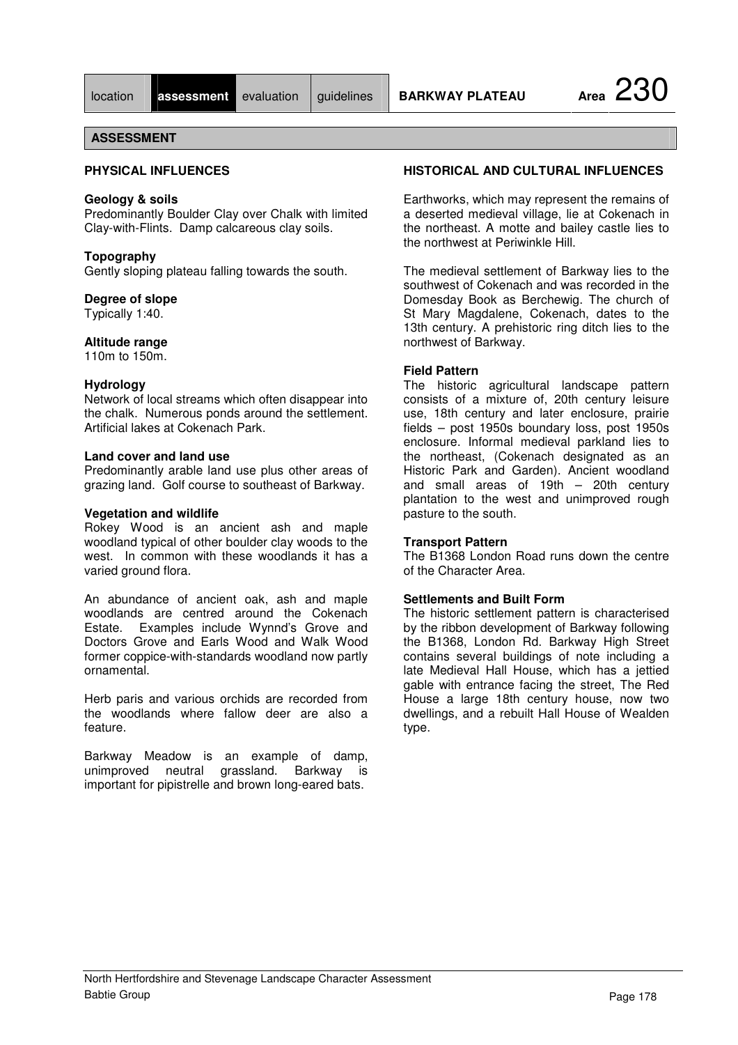**IDENSIES ASSESSMENT** evaluation guidelines **BARKWAY PLATEAU Area** 230

### **ASSESSMENT**

### **PHYSICAL INFLUENCES**

#### **Geology & soils**

Predominantly Boulder Clay over Chalk with limited Clay-with-Flints. Damp calcareous clay soils.

#### **Topography**

Gently sloping plateau falling towards the south.

#### **Degree of slope**

Typically 1:40.

#### **Altitude range**

110m to 150m.

#### **Hydrology**

Network of local streams which often disappear into the chalk. Numerous ponds around the settlement. Artificial lakes at Cokenach Park.

#### **Land cover and land use**

Predominantly arable land use plus other areas of grazing land. Golf course to southeast of Barkway.

#### **Vegetation and wildlife**

Rokey Wood is an ancient ash and maple woodland typical of other boulder clay woods to the west. In common with these woodlands it has a varied ground flora.

An abundance of ancient oak, ash and maple woodlands are centred around the Cokenach Estate. Examples include Wynnd's Grove and Doctors Grove and Earls Wood and Walk Wood former coppice-with-standards woodland now partly ornamental.

Herb paris and various orchids are recorded from the woodlands where fallow deer are also a feature.

Barkway Meadow is an example of damp, unimproved neutral grassland. Barkway is important for pipistrelle and brown long-eared bats.

### **HISTORICAL AND CULTURAL INFLUENCES**

Earthworks, which may represent the remains of a deserted medieval village, lie at Cokenach in the northeast. A motte and bailey castle lies to the northwest at Periwinkle Hill.

The medieval settlement of Barkway lies to the southwest of Cokenach and was recorded in the Domesday Book as Berchewig. The church of St Mary Magdalene, Cokenach, dates to the 13th century. A prehistoric ring ditch lies to the northwest of Barkway.

#### **Field Pattern**

The historic agricultural landscape pattern consists of a mixture of, 20th century leisure use, 18th century and later enclosure, prairie fields – post 1950s boundary loss, post 1950s enclosure. Informal medieval parkland lies to the northeast, (Cokenach designated as an Historic Park and Garden). Ancient woodland and small areas of 19th – 20th century plantation to the west and unimproved rough pasture to the south.

#### **Transport Pattern**

The B1368 London Road runs down the centre of the Character Area.

#### **Settlements and Built Form**

The historic settlement pattern is characterised by the ribbon development of Barkway following the B1368, London Rd. Barkway High Street contains several buildings of note including a late Medieval Hall House, which has a jettied gable with entrance facing the street, The Red House a large 18th century house, now two dwellings, and a rebuilt Hall House of Wealden type.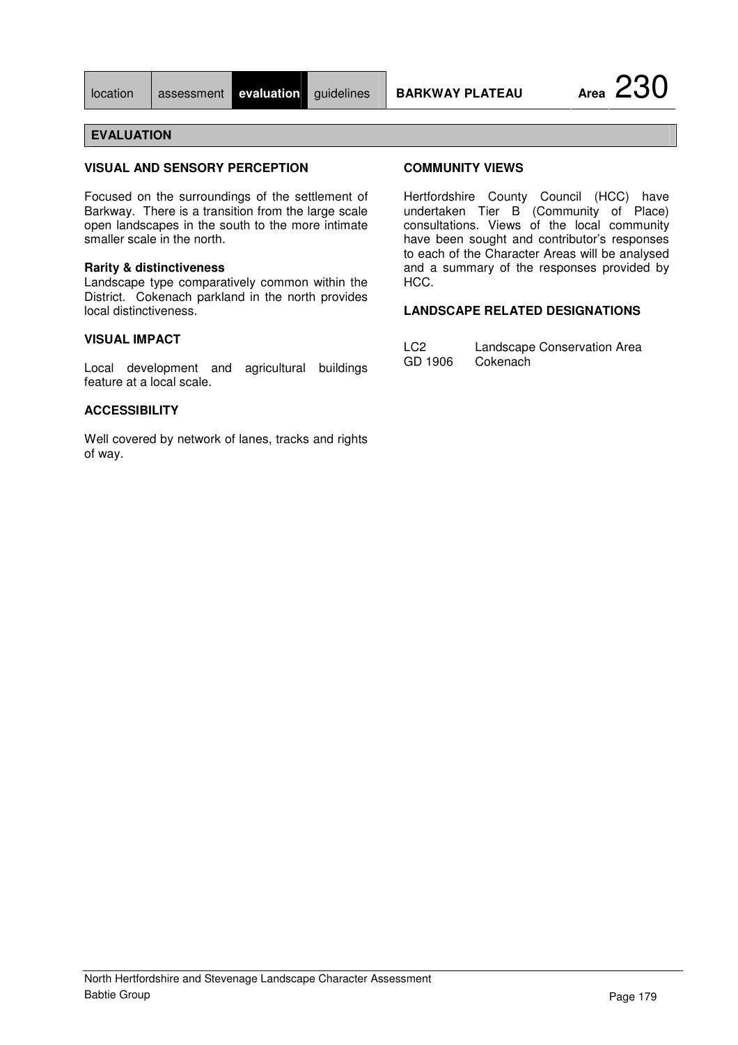| location | assessment |  |
|----------|------------|--|

#### **VISUAL AND SENSORY PERCEPTION**

Focused on the surroundings of the settlement of Barkway. There is a transition from the large scale open landscapes in the south to the more intimate smaller scale in the north.

#### **Rarity & distinctiveness**

Landscape type comparatively common within the District. Cokenach parkland in the north provides local distinctiveness.

### **VISUAL IMPACT**

Local development and agricultural buildings feature at a local scale.

#### **ACCESSIBILITY**

Well covered by network of lanes, tracks and rights of way.

#### **COMMUNITY VIEWS**

Hertfordshire County Council (HCC) have undertaken Tier B (Community of Place) consultations. Views of the local community have been sought and contributor's responses to each of the Character Areas will be analysed and a summary of the responses provided by HCC.

### **LANDSCAPE RELATED DESIGNATIONS**

| LC <sub>2</sub> | Landscape Conservation Area |
|-----------------|-----------------------------|
| GD 1906         | Cokenach                    |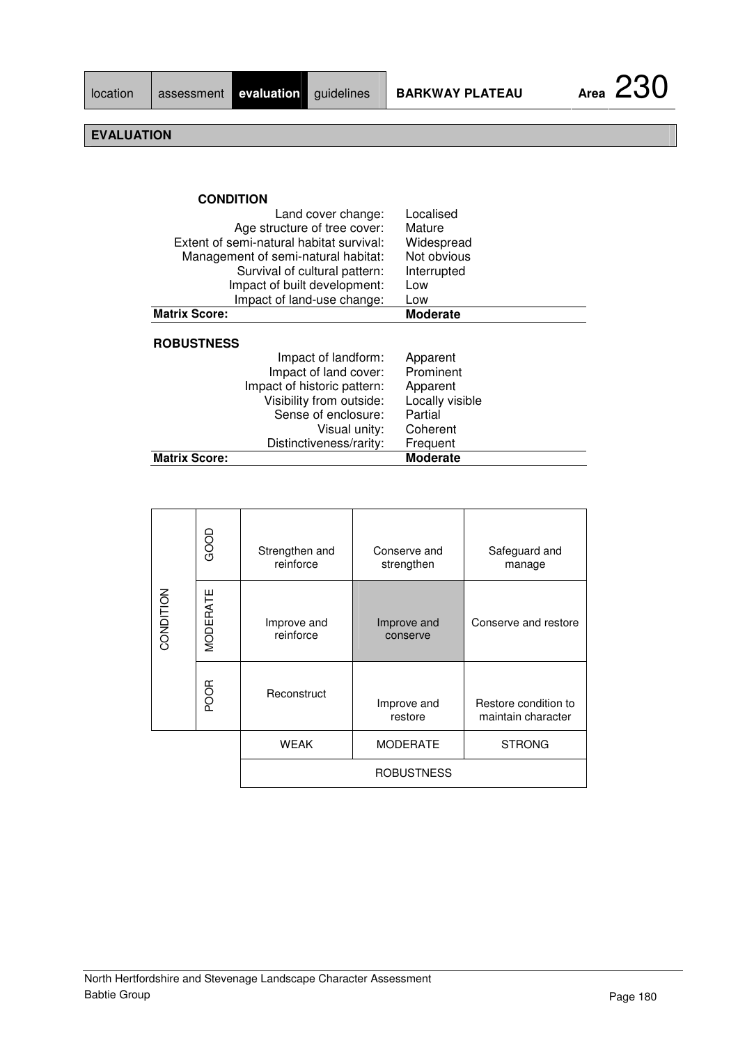| <b>CONDITION</b>                         |                 |
|------------------------------------------|-----------------|
| Land cover change:                       | Localised       |
| Age structure of tree cover:             | Mature          |
| Extent of semi-natural habitat survival: | Widespread      |
| Management of semi-natural habitat:      | Not obvious     |
| Survival of cultural pattern:            | Interrupted     |
| Impact of built development:             | Low             |
| Impact of land-use change:               | Low             |
| <b>Matrix Score:</b>                     | Moderate        |
| <b>ROBUSTNESS</b>                        |                 |
| Impact of landform:                      | Apparent        |
| Impact of land cover:                    | Prominent       |
| Impact of historic pattern:              | Apparent        |
| Visibility from outside:                 | Locally visible |
| Sense of enclosure:                      | Partial         |
| Visual unity:                            | Coherent        |
| Distinctiveness/rarity:                  | Frequent        |
| <b>Matrix Score:</b>                     | <b>Moderate</b> |

| CONDITION | GOOD        | Strengthen and<br>reinforce | Conserve and<br>strengthen | Safeguard and<br>manage                    |
|-----------|-------------|-----------------------------|----------------------------|--------------------------------------------|
|           | MODERATE    | Improve and<br>reinforce    | Improve and<br>conserve    | Conserve and restore                       |
|           | <b>POOR</b> | Reconstruct                 | Improve and<br>restore     | Restore condition to<br>maintain character |
|           |             | <b>WEAK</b>                 | <b>MODERATE</b>            | <b>STRONG</b>                              |
|           |             |                             | <b>ROBUSTNESS</b>          |                                            |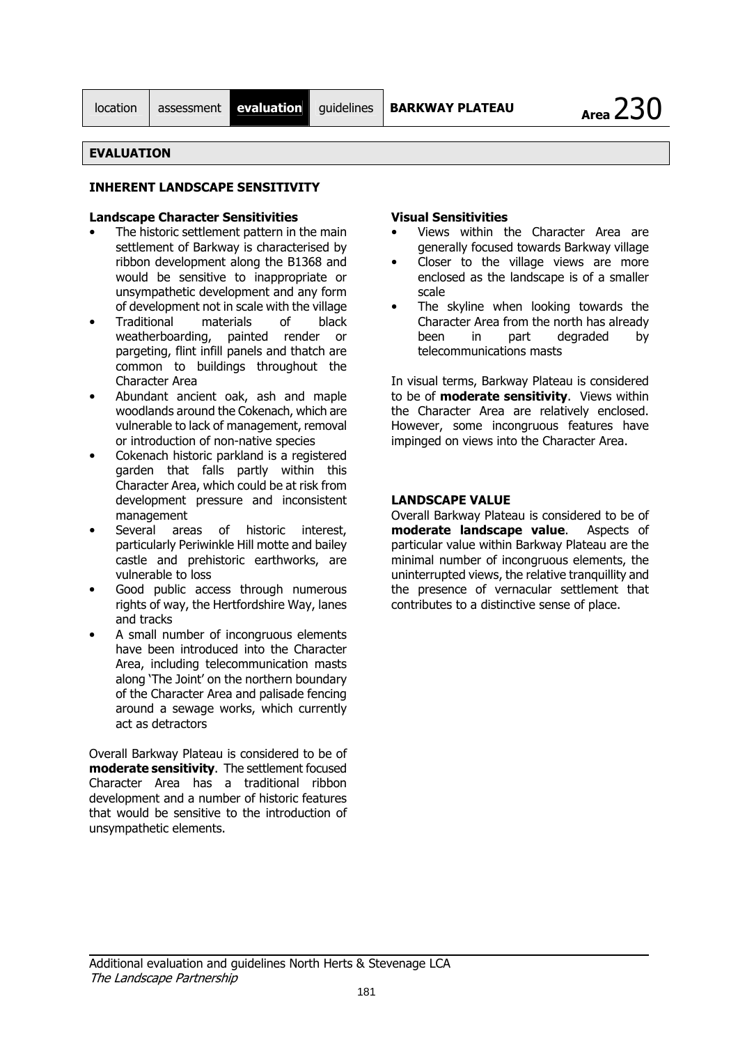Area  $230$ 

### **EVALUATION**

### **INHERENT I ANDSCAPE SENSITIVITY**

### **Landscane Character Sensitivities**

- The historic settlement pattern in the main settlement of Barkway is characterised by ribbon development along the B1368 and would be sensitive to inappropriate or unsympathetic development and any form of development not in scale with the village
- Traditional materials  $\sigma$ f black weatherboarding, painted render or pargeting, flint infill panels and thatch are common to buildings throughout the Character Area
- Abundant ancient oak, ash and maple woodlands around the Cokenach, which are vulnerable to lack of management, removal or introduction of non-native species
- Cokenach historic parkland is a registered garden that falls partly within this Character Area, which could be at risk from development pressure and inconsistent management
- Several areas of historic interest, particularly Periwinkle Hill motte and bailey castle and prehistoric earthworks, are vulnerable to loss
- Good public access through numerous rights of way, the Hertfordshire Way, lanes and tracks
- A small number of incongruous elements have been introduced into the Character Area, including telecommunication masts along 'The Joint' on the northern boundary of the Character Area and palisade fencing around a sewage works, which currently act as detractors

Overall Barkway Plateau is considered to be of moderate sensitivity. The settlement focused Character Area has a traditional ribbon development and a number of historic features that would be sensitive to the introduction of unsympathetic elements.

#### **Visual Sensitivities**

- Views within the Character Area are generally focused towards Barkway village
- Closer to the village views are more enclosed as the landscape is of a smaller scale
- The skyline when looking towards the Character Area from the north has already heen part degraded in by telecommunications masts

In visual terms, Barkway Plateau is considered to be of **moderate sensitivity**. Views within the Character Area are relatively enclosed. However, some incongruous features have impinged on views into the Character Area.

#### **LANDSCAPE VALUE**

Overall Barkway Plateau is considered to be of moderate landscape value. Aspects of particular value within Barkway Plateau are the minimal number of incongruous elements, the uninterrupted views, the relative tranquillity and the presence of vernacular settlement that contributes to a distinctive sense of place.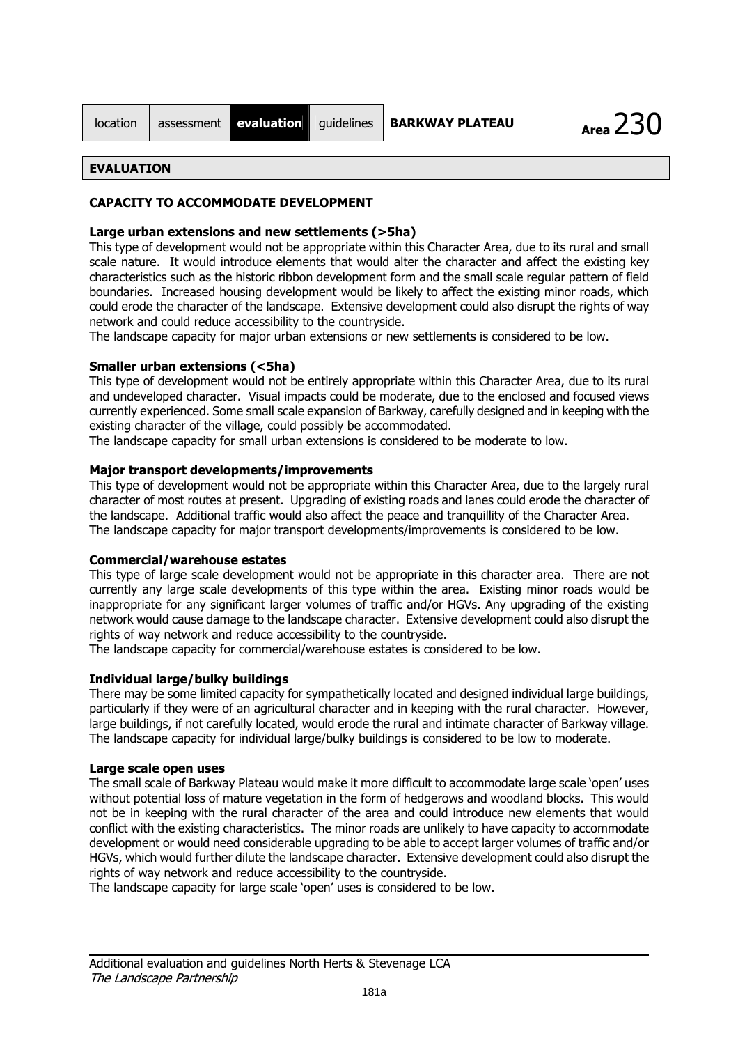| location |  |
|----------|--|
|          |  |

### **CAPACITY TO ACCOMMODATE DEVELOPMENT**

### Large urban extensions and new settlements (>5ha)

This type of development would not be appropriate within this Character Area, due to its rural and small scale nature. It would introduce elements that would alter the character and affect the existing key characteristics such as the historic ribbon development form and the small scale regular pattern of field boundaries. Increased housing development would be likely to affect the existing minor roads, which could erode the character of the landscape. Extensive development could also disrupt the rights of way network and could reduce accessibility to the countryside.

The landscape capacity for major urban extensions or new settlements is considered to be low.

### **Smaller urban extensions (<5ha)**

This type of development would not be entirely appropriate within this Character Area, due to its rural and undeveloped character. Visual impacts could be moderate, due to the enclosed and focused views currently experienced. Some small scale expansion of Barkway, carefully designed and in keeping with the existing character of the village, could possibly be accommodated.

The landscape capacity for small urban extensions is considered to be moderate to low.

### Major transport developments/improvements

This type of development would not be appropriate within this Character Area, due to the largely rural character of most routes at present. Upgrading of existing roads and lanes could erode the character of the landscape. Additional traffic would also affect the peace and tranguillity of the Character Area. The landscape capacity for major transport developments/improvements is considered to be low.

#### **Commercial/warehouse estates**

This type of large scale development would not be appropriate in this character area. There are not currently any large scale developments of this type within the area. Existing minor roads would be inappropriate for any significant larger volumes of traffic and/or HGVs. Any upgrading of the existing network would cause damage to the landscape character. Extensive development could also disrupt the rights of way network and reduce accessibility to the countryside.

The landscape capacity for commercial/warehouse estates is considered to be low.

### **Individual large/bulky buildings**

There may be some limited capacity for sympathetically located and designed individual large buildings, particularly if they were of an agricultural character and in keeping with the rural character. However, large buildings, if not carefully located, would erode the rural and intimate character of Barkway village. The landscape capacity for individual large/bulky buildings is considered to be low to moderate.

#### Large scale open uses

The small scale of Barkway Plateau would make it more difficult to accommodate large scale 'open' uses without potential loss of mature vegetation in the form of hedgerows and woodland blocks. This would not be in keeping with the rural character of the area and could introduce new elements that would conflict with the existing characteristics. The minor roads are unlikely to have capacity to accommodate development or would need considerable upgrading to be able to accept larger volumes of traffic and/or HGVs, which would further dilute the landscape character. Extensive development could also disrupt the rights of way network and reduce accessibility to the countryside.

The landscape capacity for large scale 'open' uses is considered to be low.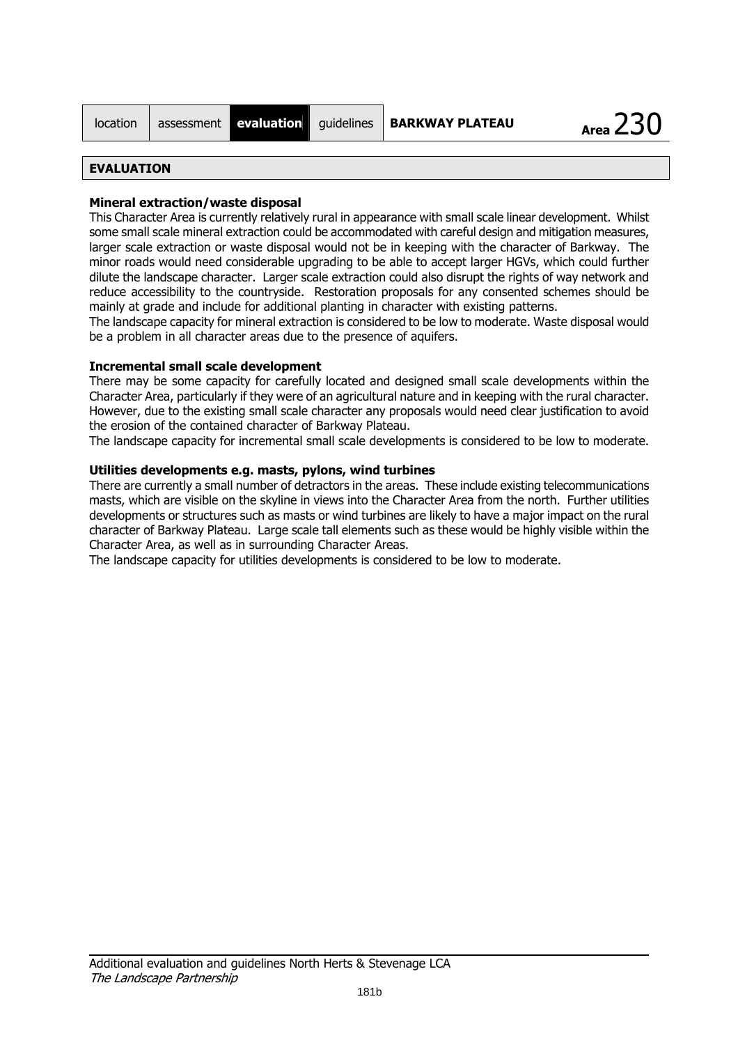| location | ass |
|----------|-----|
|          |     |

### Mineral extraction/waste disposal

This Character Area is currently relatively rural in appearance with small scale linear development. Whilst some small scale mineral extraction could be accommodated with careful design and mitigation measures, larger scale extraction or waste disposal would not be in keeping with the character of Barkway. The minor roads would need considerable upgrading to be able to accept larger HGVs, which could further dilute the landscape character. Larger scale extraction could also disrupt the rights of way network and reduce accessibility to the countryside. Restoration proposals for any consented schemes should be mainly at grade and include for additional planting in character with existing patterns.

The landscape capacity for mineral extraction is considered to be low to moderate. Waste disposal would be a problem in all character areas due to the presence of aquifers.

### **Incremental small scale development**

There may be some capacity for carefully located and designed small scale developments within the Character Area, particularly if they were of an agricultural nature and in keeping with the rural character. However, due to the existing small scale character any proposals would need clear justification to avoid the erosion of the contained character of Barkway Plateau.

The landscape capacity for incremental small scale developments is considered to be low to moderate.

### Utilities developments e.g. masts, pylons, wind turbines

There are currently a small number of detractors in the areas. These include existing telecommunications masts, which are visible on the skyline in views into the Character Area from the north. Further utilities developments or structures such as masts or wind turbines are likely to have a major impact on the rural character of Barkway Plateau. Large scale tall elements such as these would be highly visible within the Character Area, as well as in surrounding Character Areas.

The landscape capacity for utilities developments is considered to be low to moderate.